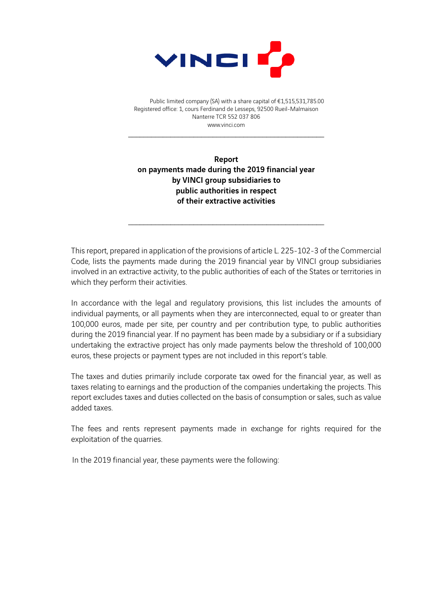

Public limited company (SA) with a share capital of €1,515,531,785.00 Registered office: 1, cours Ferdinand de Lesseps, 92500 Rueil-Malmaison Nanterre TCR 552 037 806 www.vinci.com

Report on payments made during the 2019 financial year by VINCI group subsidiaries to public authorities in respect of their extractive activities

This report, prepared in application of the provisions of article L. 225-102-3 of the Commercial Code, lists the payments made during the 2019 financial year by VINCI group subsidiaries involved in an extractive activity, to the public authorities of each of the States or territories in which they perform their activities.

In accordance with the legal and regulatory provisions, this list includes the amounts of individual payments, or all payments when they are interconnected, equal to or greater than 100,000 euros, made per site, per country and per contribution type, to public authorities during the 2019 financial year. If no payment has been made by a subsidiary or if a subsidiary undertaking the extractive project has only made payments below the threshold of 100,000 euros, these projects or payment types are not included in this report's table.

The taxes and duties primarily include corporate tax owed for the financial year, as well as taxes relating to earnings and the production of the companies undertaking the projects. This report excludes taxes and duties collected on the basis of consumption or sales, such as value added taxes.

The fees and rents represent payments made in exchange for rights required for the exploitation of the quarries.

In the 2019 financial year, these payments were the following: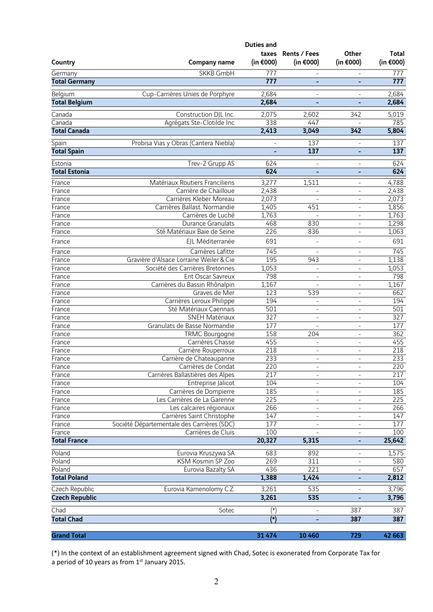|                               |                                                | <b>Duties and</b>        |                              |                                      |                              |
|-------------------------------|------------------------------------------------|--------------------------|------------------------------|--------------------------------------|------------------------------|
| Country                       | <b>Company name</b>                            | taxes<br>(in €000)       | Rents / Fees<br>(in $€000$ ) | Other<br>(in €000)                   | <b>Total</b><br>(in $€000$ ) |
| Germany                       | SKKB GmbH                                      | 777                      |                              |                                      | 777                          |
| <b>Total Germany</b>          |                                                | 777                      | -                            | $\qquad \qquad \blacksquare$         | 777                          |
|                               |                                                |                          |                              |                                      |                              |
| Belgium                       | Cup-Carrières Unies de Porphyre                | 2,684                    | $\overline{a}$               |                                      | 2,684                        |
| <b>Total Belgium</b>          |                                                | 2,684                    | ÷,                           | $\overline{\phantom{a}}$             | 2,684                        |
| Canada                        | Construction DJL Inc.                          | 2,075                    | 2,602                        | 342                                  | 5,019                        |
| Canada                        | Agrégats Ste-Clotilde Inc                      | 338                      | 447                          |                                      | 785                          |
| <b>Total Canada</b>           |                                                | 2,413                    | 3,049                        | 342                                  | 5,804                        |
| Spain                         | Probisa Vias y Obras (Cantera Niebla)          | $\overline{\phantom{a}}$ | 137                          | $\overline{\phantom{a}}$             | 137                          |
| <b>Total Spain</b>            |                                                |                          | 137                          | ٠                                    | 137                          |
| Estonia                       | Trev-2 Grupp AS                                | 624                      | L,                           | $\overline{\phantom{a}}$             | 624                          |
| <b>Total Estonia</b>          |                                                | 624                      |                              | $\overline{\phantom{a}}$             | 624                          |
| France                        | Matériaux Routiers Franciliens                 | 3,277                    | 1,511                        | $\overline{\phantom{a}}$             | 4,788                        |
| France                        | Carrière de Chailloue                          | 2,438                    | $\overline{a}$               | $\overline{\phantom{a}}$             | 2,438                        |
| France                        | Carrières Kleber Moreau                        | 2,073                    |                              | $\qquad \qquad -$                    | 2,073                        |
| France                        | Carrières Ballast. Normandie                   | 1,405                    | 451                          | $\overline{\phantom{a}}$             | 1,856                        |
| France                        | Carrières de Luché                             | 1,763                    | ÷,                           | $\overline{\phantom{a}}$             | 1,763                        |
| France                        | <b>Durance Granulats</b>                       | 468                      | 830                          | $\overline{\phantom{a}}$             | 1,298                        |
| France                        | Sté Matériaux Baie de Seine                    | 226                      | 836                          | $\frac{1}{2}$                        | 1,063                        |
| France                        | EJL Méditerranée                               | 691                      | L,                           | $\overline{\phantom{a}}$             | 691                          |
| France                        | Carrières Lafitte                              | 745                      | ÷                            | $\overline{\phantom{a}}$             | 745                          |
| France                        | Gravière d'Alsace Lorraine Weiler & Cie        | 195                      | 943                          | $\overline{\phantom{a}}$             | 1,138                        |
| France                        | Société des Carrières Bretonnes                | 1,053                    | ÷                            | $\frac{1}{2}$                        | 1,053                        |
| France                        | Ent Oscar Savreux                              | 798                      | ÷,                           | $\overline{\phantom{a}}$             | 798                          |
| France                        | Carrières du Bassin Rhônalpin                  | 1,167                    |                              | $\overline{\phantom{a}}$             | 1,167                        |
| France                        | Graves de Mer                                  | 123                      | 539                          | $\overline{\phantom{a}}$             | 662                          |
| France                        | Carrières Leroux Philippe                      | 194                      | L,                           | $\blacksquare$                       | 194                          |
| France                        | Sté Matériaux Caennais                         | 501                      | $\overline{\phantom{0}}$     | $\overline{\phantom{a}}$             | 501                          |
| France                        | SNEH Matériaux<br>Granulats de Basse Normandie | 327<br>177               | ÷,                           | $\bar{\phantom{a}}$                  | 327<br>177                   |
| France<br>France              | <b>TRMC Bourgogne</b>                          | 158                      | -<br>204                     | $\overline{\phantom{a}}$<br>$\equiv$ | 362                          |
| France                        | Carrières Chasse                               | 455                      | $\overline{\phantom{0}}$     | $\overline{\phantom{a}}$             | 455                          |
| France                        | Carrière Rouperroux                            | 218                      | ÷,                           | $\overline{\phantom{a}}$             | 218                          |
| France                        | Carrière de Chateaupanne                       | 233                      | ÷,                           | $\frac{1}{2}$                        | 233                          |
| France                        | Carrières de Condat                            | 220                      |                              |                                      | 220                          |
| France                        | Carrières Ballastières des Alpes               | 217                      | $\overline{\phantom{0}}$     | $\overline{\phantom{a}}$             | 217                          |
| France                        | Entreprise Jalicot                             | 104                      | $\overline{\phantom{0}}$     | $\overline{\phantom{a}}$             | 104                          |
| France                        | Carrières de Dompierre                         | 185                      | $\overline{\phantom{0}}$     | $\overline{\phantom{a}}$             | 185                          |
| France                        | Les Carrières de La Garenne                    | 225                      | $\overline{\phantom{0}}$     | $\qquad \qquad \blacksquare$         | 225                          |
| France                        | Les calcaires régionaux                        | 266                      | $\overline{\phantom{0}}$     | $\overline{\phantom{a}}$             | 266                          |
| France                        | Carrières Saint Christophe                     | 147                      | $\overline{\phantom{0}}$     | $\overline{\phantom{a}}$             | 147                          |
| France                        | Société Départementale des Carrières (SDC)     | 177<br>100               | $\overline{\phantom{0}}$     |                                      | 177<br>100                   |
| France<br><b>Total France</b> | Carrières de Cluis                             | 20,327                   | 5,315                        | $\frac{1}{2}$                        | 25,642                       |
|                               |                                                |                          |                              |                                      |                              |
| Poland                        | Eurovia Kruszywa SA                            | 683                      | 892                          | $\qquad \qquad -$                    | 1,575                        |
| Poland                        | KSM Kosmin SP Zoo                              | 269                      | 311                          | $\overline{\phantom{a}}$             | 580                          |
| Poland<br><b>Total Poland</b> | Eurovia Bazalty SA                             | 436<br>1,388             | 221<br>1,424                 | $\qquad \qquad -$<br>٠               | 657<br>2,812                 |
|                               |                                                |                          |                              |                                      |                              |
| Czech Republic                | Eurovia Kamenolomy C.Z.                        | 3,261                    | 535                          |                                      | 3,796                        |
| <b>Czech Republic</b>         |                                                | 3,261                    | 535                          |                                      | 3,796                        |
| Chad                          | Sotec                                          | $(\ast)$                 |                              | 387                                  | 387                          |
| <b>Total Chad</b>             |                                                | $(*)$                    |                              | 387                                  | 387                          |
|                               |                                                |                          |                              |                                      |                              |
| <b>Grand Total</b>            |                                                | 31 474                   | 10 460                       | 729                                  | 42 663                       |

(\*) In the context of an establishment agreement signed with Chad, Sotec is exonerated from Corporate Tax for a period of 10 years as from 1st January 2015.